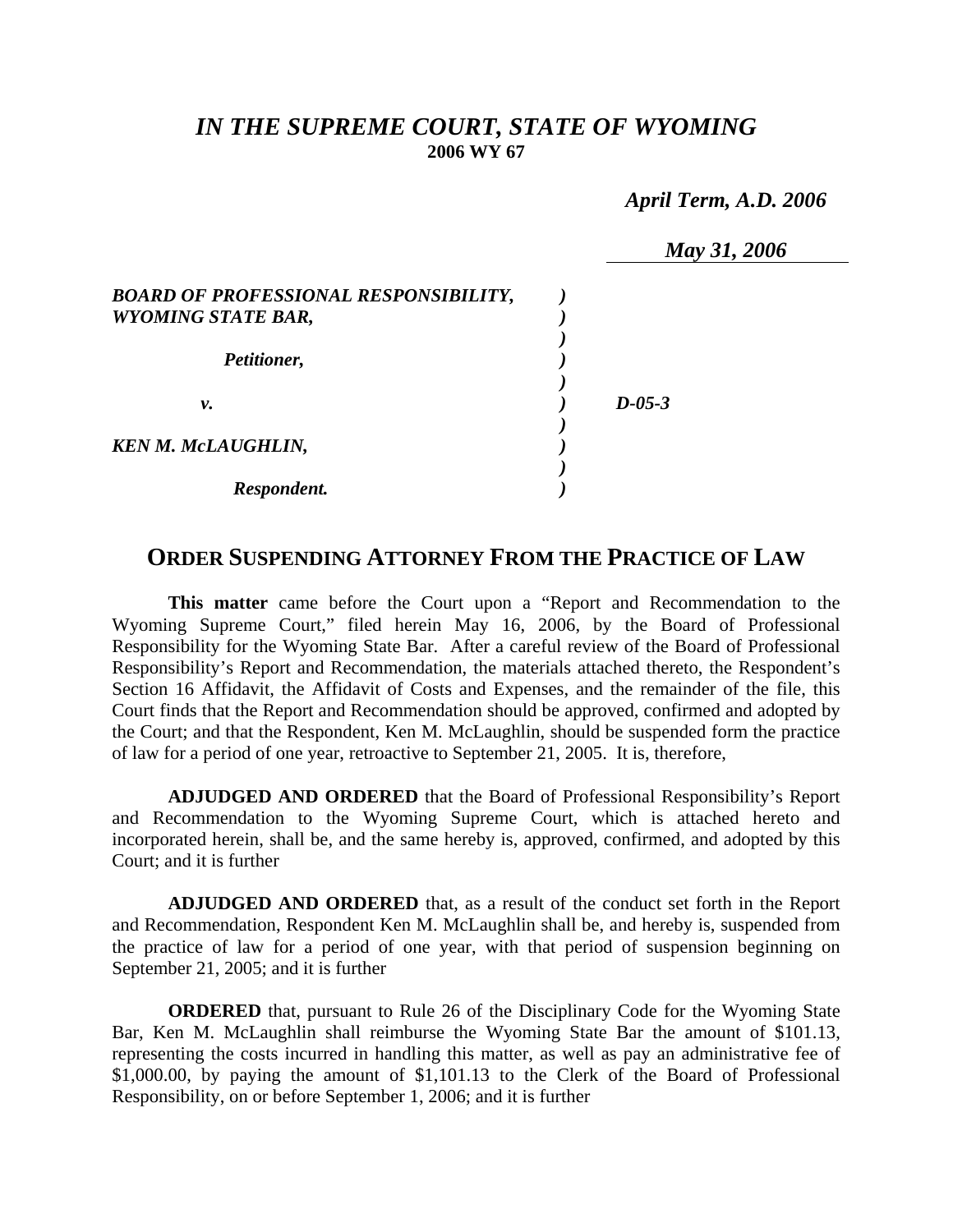## *IN THE SUPREME COURT, STATE OF WYOMING*  **2006 WY 67**

 *April Term, A.D. 2006* 

|                                                                    | May 31, 2006 |
|--------------------------------------------------------------------|--------------|
| BOARD OF PROFESSIONAL RESPONSIBILITY,<br><b>WYOMING STATE BAR,</b> |              |
| Petitioner,                                                        |              |
| ν.                                                                 | $D - 05 - 3$ |
| KEN M. McLAUGHLIN,                                                 |              |
| Respondent.                                                        |              |

## **ORDER SUSPENDING ATTORNEY FROM THE PRACTICE OF LAW**

**This matter** came before the Court upon a "Report and Recommendation to the Wyoming Supreme Court," filed herein May 16, 2006, by the Board of Professional Responsibility for the Wyoming State Bar. After a careful review of the Board of Professional Responsibility's Report and Recommendation, the materials attached thereto, the Respondent's Section 16 Affidavit, the Affidavit of Costs and Expenses, and the remainder of the file, this Court finds that the Report and Recommendation should be approved, confirmed and adopted by the Court; and that the Respondent, Ken M. McLaughlin, should be suspended form the practice of law for a period of one year, retroactive to September 21, 2005. It is, therefore,

**ADJUDGED AND ORDERED** that the Board of Professional Responsibility's Report and Recommendation to the Wyoming Supreme Court, which is attached hereto and incorporated herein, shall be, and the same hereby is, approved, confirmed, and adopted by this Court; and it is further

**ADJUDGED AND ORDERED** that, as a result of the conduct set forth in the Report and Recommendation, Respondent Ken M. McLaughlin shall be, and hereby is, suspended from the practice of law for a period of one year, with that period of suspension beginning on September 21, 2005; and it is further

**ORDERED** that, pursuant to Rule 26 of the Disciplinary Code for the Wyoming State Bar, Ken M. McLaughlin shall reimburse the Wyoming State Bar the amount of \$101.13, representing the costs incurred in handling this matter, as well as pay an administrative fee of \$1,000.00, by paying the amount of \$1,101.13 to the Clerk of the Board of Professional Responsibility, on or before September 1, 2006; and it is further